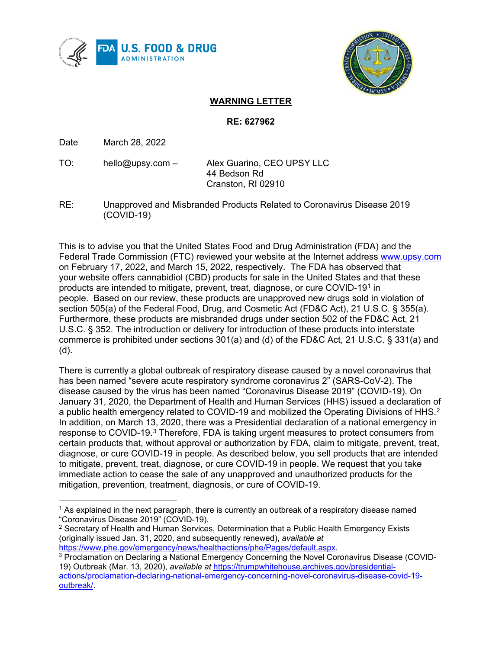



## **WARNING LETTER**

## **RE: 627962**

Date March 28, 2022

- TO:    hello@upsy.com Alex Guarino, CEO UPSY LLC 44 Bedson Rd Cranston, RI 02910
- RE:             Unapproved and Misbranded Products Related to Coronavirus Disease 2019 (COVID-19)

This is to advise you that the United States Food and Drug Administration (FDA) and the Federal Trade Commission (FTC) reviewed your website at the Internet address [www.upsy.com](http://www.upsy.com/) on February 17, 2022, and March 15, 2022, respectively. The FDA has observed that your website offers cannabidiol (CBD) products for sale in the United States and that these products are intended to mitigate, prevent, treat, diagnose, or cure COVID-19[1](#page-0-0) in people. Based on our review, these products are unapproved new drugs sold in violation of section 505(a) of the Federal Food, Drug, and Cosmetic Act (FD&C Act), 21 U.S.C. § 355(a). Furthermore, these products are misbranded drugs under section 502 of the FD&C Act, 21 U.S.C. § 352. The introduction or delivery for introduction of these products into interstate commerce is prohibited under sections 301(a) and (d) of the FD&C Act, 21 U.S.C. § 331(a) and (d).

There is currently a global outbreak of respiratory disease caused by a novel coronavirus that has been named "severe acute respiratory syndrome coronavirus 2" (SARS-CoV-2). The disease caused by the virus has been named "Coronavirus Disease 2019" (COVID-19). On January 31, 2020, the Department of Health and Human Services (HHS) issued a declaration of a public health emergency related to COVID-19 and mobilized the Operating Divisions of HHS.<sup>[2](#page-0-1)</sup> In addition, on March 13, 2020, there was a Presidential declaration of a national emergency in response to COVID-19.[3](#page-0-2) Therefore, FDA is taking urgent measures to protect consumers from certain products that, without approval or authorization by FDA, claim to mitigate, prevent, treat, diagnose, or cure COVID-19 in people. As described below, you sell products that are intended to mitigate, prevent, treat, diagnose, or cure COVID-19 in people. We request that you take immediate action to cease the sale of any unapproved and unauthorized products for the mitigation, prevention, treatment, diagnosis, or cure of COVID-19.

<span id="page-0-0"></span> $1$  As explained in the next paragraph, there is currently an outbreak of a respiratory disease named "Coronavirus Disease 2019" (COVID-19).

<span id="page-0-1"></span> $2$  Secretary of Health and Human Services, Determination that a Public Health Emergency Exists (originally issued Jan. 31, 2020, and subsequently renewed), *available at* [https://www.phe.gov/emergency/news/healthactions/phe/Pages/default.aspx.](https://www.phe.gov/emergency/news/healthactions/phe/Pages/default.aspx)

<span id="page-0-2"></span><sup>3</sup> Proclamation on Declaring a National Emergency Concerning the Novel Coronavirus Disease (COVID-19) Outbreak (Mar. 13, 2020), *available at* [https://trumpwhitehouse.archives.gov/presidential](https://trumpwhitehouse.archives.gov/presidential-actions/proclamation-declaring-national-emergency-concerning-novel-coronavirus-disease-covid-19-outbreak/)[actions/proclamation-declaring-national-emergency-concerning-novel-coronavirus-disease-covid-19](https://trumpwhitehouse.archives.gov/presidential-actions/proclamation-declaring-national-emergency-concerning-novel-coronavirus-disease-covid-19-outbreak/) [outbreak/.](https://trumpwhitehouse.archives.gov/presidential-actions/proclamation-declaring-national-emergency-concerning-novel-coronavirus-disease-covid-19-outbreak/)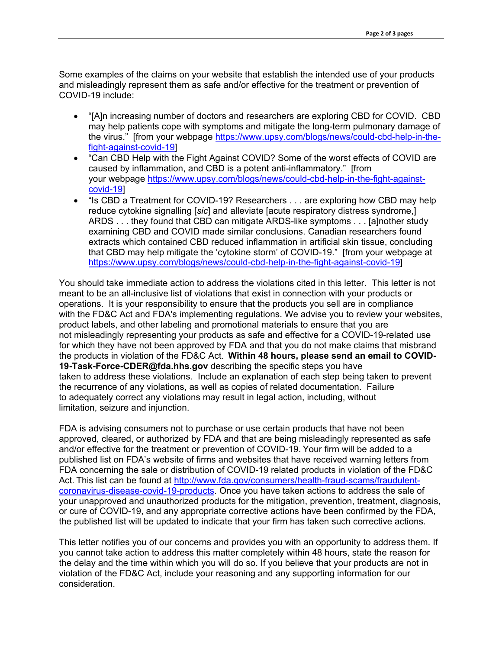Some examples of the claims on your website that establish the intended use of your products and misleadingly represent them as safe and/or effective for the treatment or prevention of COVID-19 include:

- "[A]n increasing number of doctors and researchers are exploring CBD for COVID. CBD may help patients cope with symptoms and mitigate the long-term pulmonary damage of the virus." [from your webpage [https://www.upsy.com/blogs/news/could-cbd-help-in-the](https://www.upsy.com/blogs/news/could-cbd-help-in-the-fight-against-covid-19)[fight-against-covid-19\]](https://www.upsy.com/blogs/news/could-cbd-help-in-the-fight-against-covid-19)
- "Can CBD Help with the Fight Against COVID? Some of the worst effects of COVID are caused by inflammation, and CBD is a potent anti-inflammatory." [from your webpage [https://www.upsy.com/blogs/news/could-cbd-help-in-the-fight-against](https://www.upsy.com/blogs/news/could-cbd-help-in-the-fight-against-covid-19)[covid-19\]](https://www.upsy.com/blogs/news/could-cbd-help-in-the-fight-against-covid-19)
- "Is CBD a Treatment for COVID-19? Researchers . . . are exploring how CBD may help reduce cytokine signalling [*sic*] and alleviate [acute respiratory distress syndrome,] ARDS . . . they found that CBD can mitigate ARDS-like symptoms . . . [a]nother study examining CBD and COVID made similar conclusions. Canadian researchers found extracts which contained CBD reduced inflammation in artificial skin tissue, concluding that CBD may help mitigate the 'cytokine storm' of COVID-19." [from your webpage at [https://www.upsy.com/blogs/news/could-cbd-help-in-the-fight-against-covid-19\]](https://www.upsy.com/blogs/news/could-cbd-help-in-the-fight-against-covid-19)

You should take immediate action to address the violations cited in this letter. This letter is not meant to be an all-inclusive list of violations that exist in connection with your products or operations. It is your responsibility to ensure that the products you sell are in compliance with the FD&C Act and FDA's implementing regulations. We advise you to review your websites, product labels, and other labeling and promotional materials to ensure that you are not misleadingly representing your products as safe and effective for a COVID-19-related use for which they have not been approved by FDA and that you do not make claims that misbrand the products in violation of the FD&C Act.  **Within 48 hours, please send an email to COVID-19-Task-Force-CDER@fda.hhs.gov** describing the specific steps you have taken to address these violations. Include an explanation of each step being taken to prevent the recurrence of any violations, as well as copies of related documentation. Failure to adequately correct any violations may result in legal action, including, without limitation, seizure and injunction.

FDA is advising consumers not to purchase or use certain products that have not been approved, cleared, or authorized by FDA and that are being misleadingly represented as safe and/or effective for the treatment or prevention of COVID-19. Your firm will be added to a published list on FDA's website of firms and websites that have received warning letters from FDA concerning the sale or distribution of COVID-19 related products in violation of the FD&C Act. This list can be found at [http://www.fda.gov/consumers/health-fraud-scams/fraudulent](http://www.fda.gov/consumers/health-fraud-scams/fraudulent-coronavirus-disease-covid-19-products)[coronavirus-disease-covid-19-products.](http://www.fda.gov/consumers/health-fraud-scams/fraudulent-coronavirus-disease-covid-19-products) Once you have taken actions to address the sale of your unapproved and unauthorized products for the mitigation, prevention, treatment, diagnosis, or cure of COVID-19, and any appropriate corrective actions have been confirmed by the FDA, the published list will be updated to indicate that your firm has taken such corrective actions.

This letter notifies you of our concerns and provides you with an opportunity to address them. If you cannot take action to address this matter completely within 48 hours, state the reason for the delay and the time within which you will do so. If you believe that your products are not in violation of the FD&C Act, include your reasoning and any supporting information for our consideration.